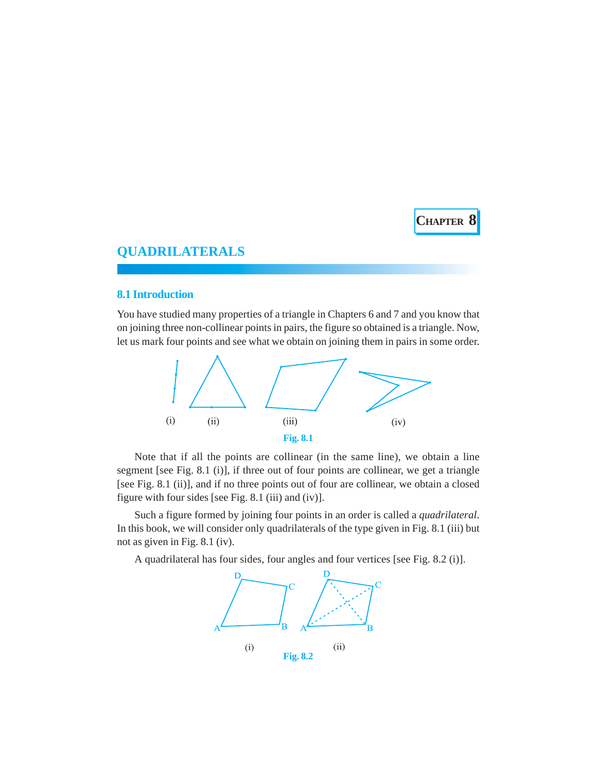

# **QUADRILATERALS**

### **8.1 Introduction**

You have studied many properties of a triangle in Chapters 6 and 7 and you know that on joining three non-collinear points in pairs, the figure so obtained is a triangle. Now, let us mark four points and see what we obtain on joining them in pairs in some order.



Note that if all the points are collinear (in the same line), we obtain a line segment [see Fig. 8.1 (i)], if three out of four points are collinear, we get a triangle [see Fig. 8.1 (ii)], and if no three points out of four are collinear, we obtain a closed figure with four sides [see Fig. 8.1 (iii) and (iv)].

Such a figure formed by joining four points in an order is called a *quadrilateral*. In this book, we will consider only quadrilaterals of the type given in Fig. 8.1 (iii) but not as given in Fig. 8.1 (iv).

A quadrilateral has four sides, four angles and four vertices [see Fig. 8.2 (i)].

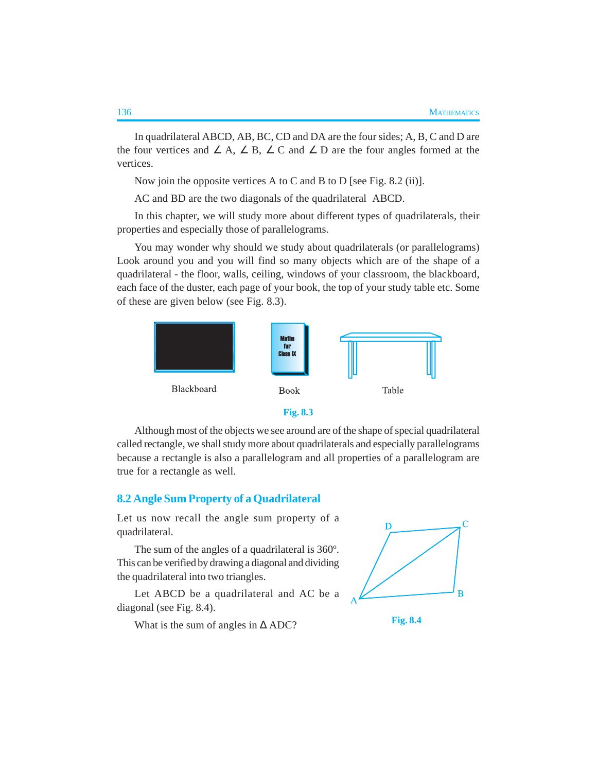In quadrilateral ABCD, AB, BC, CD and DA are the four sides; A, B, C and D are the four vertices and  $\angle A$ ,  $\angle B$ ,  $\angle C$  and  $\angle D$  are the four angles formed at the vertices.

Now join the opposite vertices A to C and B to D [see Fig. 8.2 (ii)].

AC and BD are the two diagonals of the quadrilateral ABCD.

In this chapter, we will study more about different types of quadrilaterals, their properties and especially those of parallelograms.

You may wonder why should we study about quadrilaterals (or parallelograms) Look around you and you will find so many objects which are of the shape of a quadrilateral - the floor, walls, ceiling, windows of your classroom, the blackboard, each face of the duster, each page of your book, the top of your study table etc. Some of these are given below (see Fig. 8.3).





Although most of the objects we see around are of the shape of special quadrilateral called rectangle, we shall study more about quadrilaterals and especially parallelograms because a rectangle is also a parallelogram and all properties of a parallelogram are true for a rectangle as well.

## **8.2 Angle Sum Property of a Quadrilateral**

Let us now recall the angle sum property of a quadrilateral.

The sum of the angles of a quadrilateral is 360º. This can be verified by drawing a diagonal and dividing the quadrilateral into two triangles.

Let ABCD be a quadrilateral and AC be a diagonal (see Fig. 8.4).

What is the sum of angles in  $\triangle$  ADC? **Fig. 8.4** 



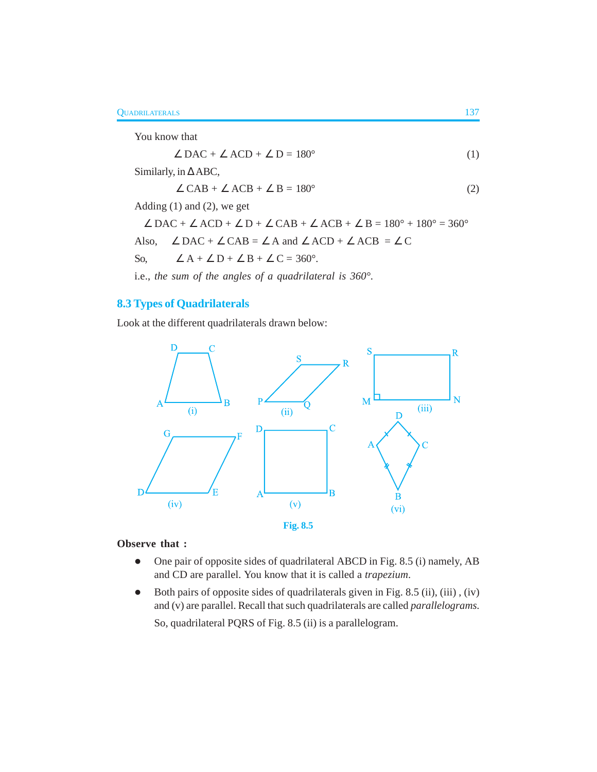You know that

$$
\angle \text{DAC} + \angle \text{ACD} + \angle \text{D} = 180^{\circ} \tag{1}
$$

Similarly, in ∆ ABC,

$$
\angle CAB + \angle ACB + \angle B = 180^{\circ} \tag{2}
$$

Adding (1) and (2), we get

$$
\angle \text{DAC} + \angle \text{ACD} + \angle \text{D} + \angle \text{CAB} + \angle \text{ACB} + \angle \text{B} = 180^{\circ} + 180^{\circ} = 360^{\circ}
$$
  
Also, 
$$
\angle \text{DAC} + \angle \text{CAB} = \angle \text{A} \text{ and } \angle \text{ACD} + \angle \text{ACB} = \angle \text{C}
$$
  
So, 
$$
\angle \text{A} + \angle \text{D} + \angle \text{B} + \angle \text{C} = 360^{\circ}.
$$

i.e., *the sum of the angles of a quadrilateral is 360°.*

# **8.3 Types of Quadrilaterals**

Look at the different quadrilaterals drawn below:



### **Observe that :**

- One pair of opposite sides of quadrilateral ABCD in Fig. 8.5 (i) namely, AB and CD are parallel. You know that it is called a *trapezium*.
- $\bullet$  Both pairs of opposite sides of quadrilaterals given in Fig. 8.5 (ii), (iii), (iv) and (v) are parallel. Recall that such quadrilaterals are called *parallelograms*.

So, quadrilateral PQRS of Fig. 8.5 (ii) is a parallelogram.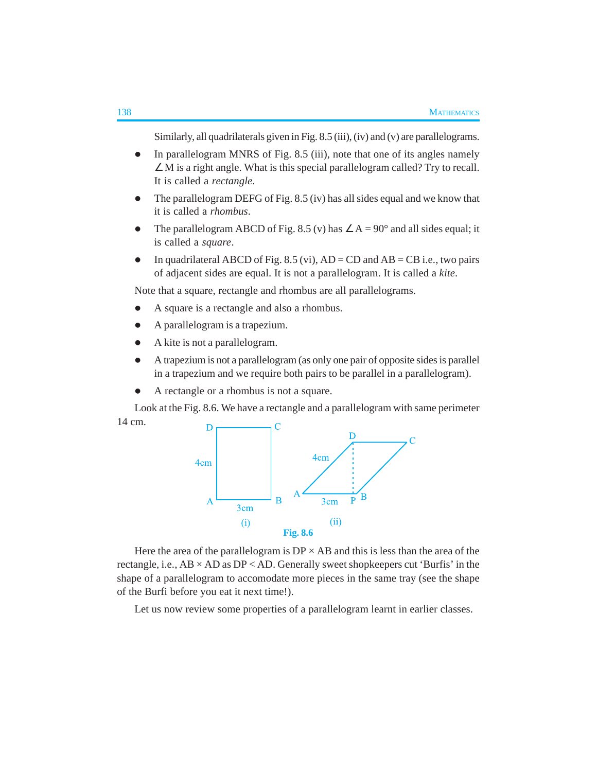Similarly, all quadrilaterals given in Fig. 8.5 (iii), (iv) and (v) are parallelograms.

- $\bullet$  In parallelogram MNRS of Fig. 8.5 (iii), note that one of its angles namely ∠ M is a right angle. What is this special parallelogram called? Try to recall. It is called a *rectangle*.
- The parallelogram DEFG of Fig. 8.5 (iv) has all sides equal and we know that it is called a *rhombus*.
- The parallelogram ABCD of Fig. 8.5 (v) has  $\angle A = 90^\circ$  and all sides equal; it is called a *square*.
- In quadrilateral ABCD of Fig. 8.5 (vi),  $AD = CD$  and  $AB = CB$  i.e., two pairs of adjacent sides are equal. It is not a parallelogram. It is called a *kite*.

Note that a square, rectangle and rhombus are all parallelograms.

- A square is a rectangle and also a rhombus.
- A parallelogram is a trapezium.
- A kite is not a parallelogram.
- A trapezium is not a parallelogram (as only one pair of opposite sides is parallel in a trapezium and we require both pairs to be parallel in a parallelogram).
- A rectangle or a rhombus is not a square.

Look at the Fig. 8.6. We have a rectangle and a parallelogram with same perimeter 14 cm. D



Here the area of the parallelogram is  $DP \times AB$  and this is less than the area of the rectangle, i.e.,  $AB \times AD$  as  $DP < AD$ . Generally sweet shopkeepers cut 'Burfis' in the shape of a parallelogram to accomodate more pieces in the same tray (see the shape of the Burfi before you eat it next time!).

Let us now review some properties of a parallelogram learnt in earlier classes.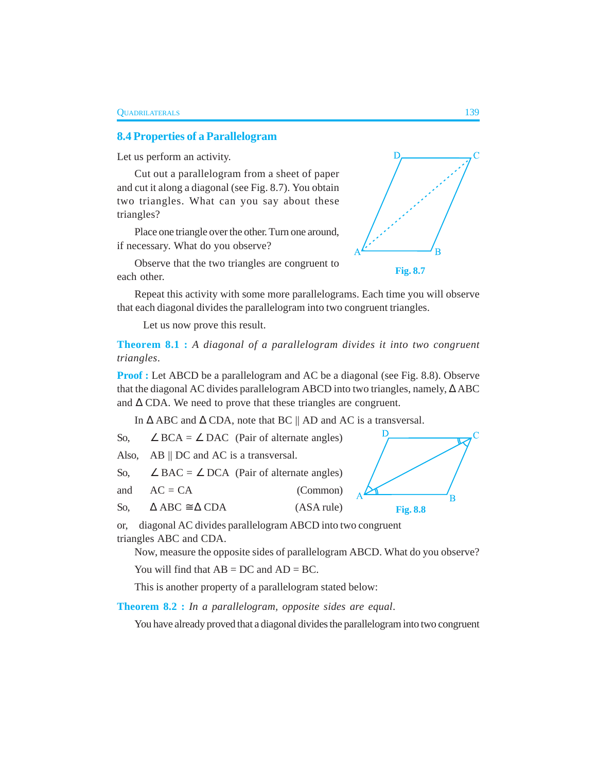## **8.4 Properties of a Parallelogram**

Let us perform an activity.

Cut out a parallelogram from a sheet of paper and cut it along a diagonal (see Fig. 8.7). You obtain two triangles. What can you say about these triangles?

Place one triangle over the other. Turn one around, if necessary. What do you observe?



Repeat this activity with some more parallelograms. Each time you will observe that each diagonal divides the parallelogram into two congruent triangles.

Let us now prove this result.

**Theorem 8.1 :** *A diagonal of a parallelogram divides it into two congruent triangles*.

**Proof :** Let ABCD be a parallelogram and AC be a diagonal (see Fig. 8.8). Observe that the diagonal AC divides parallelogram ABCD into two triangles, namely, ∆ ABC and ∆ CDA. We need to prove that these triangles are congruent.

In ∆ ABC and ∆ CDA, note that BC || AD and AC is a transversal.

D So,  $\angle BCA = \angle DAC$  (Pair of alternate angles) Also, AB || DC and AC is a transversal. So,  $\angle$  BAC =  $\angle$  DCA (Pair of alternate angles) and  $AC = CA$  (Common)

So,  $\triangle ABC \cong \triangle CDA$  (ASA rule)

or, diagonal AC divides parallelogram ABCD into two congruent triangles ABC and CDA.

Now, measure the opposite sides of parallelogram ABCD. What do you observe?

You will find that  $AB = DC$  and  $AD = BC$ .

This is another property of a parallelogram stated below:

**Theorem 8.2 :** *In a parallelogram, opposite sides are equal*.

You have already proved that a diagonal divides the parallelogram into two congruent





**Fig. 8.8**

 $\overline{B}$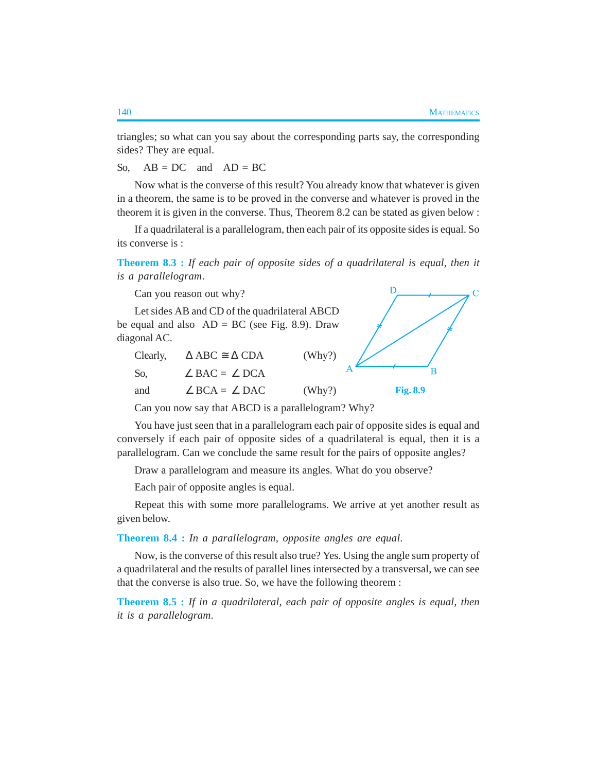D

B

triangles; so what can you say about the corresponding parts say, the corresponding sides? They are equal.

So,  $AB = DC$  and  $AD = BC$ 

Now what is the converse of this result? You already know that whatever is given in a theorem, the same is to be proved in the converse and whatever is proved in the theorem it is given in the converse. Thus, Theorem 8.2 can be stated as given below :

If a quadrilateral is a parallelogram, then each pair of its opposite sides is equal. So its converse is :

**Theorem 8.3 :** *If each pair of opposite sides of a quadrilateral is equal, then it is a parallelogram*.

Can you reason out why?

Let sides AB and CD of the quadrilateral ABCD be equal and also  $AD = BC$  (see Fig. 8.9). Draw diagonal AC.

|     | Clearly, $\Delta ABC \cong \Delta CDA$ | (Why?) |                 |
|-----|----------------------------------------|--------|-----------------|
| So. | $\angle$ BAC = $\angle$ DCA            |        |                 |
| and | $\angle$ BCA = $\angle$ DAC            | (Why?) | <b>Fig. 8.9</b> |

Can you now say that ABCD is a parallelogram? Why?

You have just seen that in a parallelogram each pair of opposite sides is equal and conversely if each pair of opposite sides of a quadrilateral is equal, then it is a parallelogram. Can we conclude the same result for the pairs of opposite angles?

Draw a parallelogram and measure its angles. What do you observe?

Each pair of opposite angles is equal.

Repeat this with some more parallelograms. We arrive at yet another result as given below.

**Theorem 8.4 :** *In a parallelogram, opposite angles are equal*.

Now, is the converse of this result also true? Yes. Using the angle sum property of a quadrilateral and the results of parallel lines intersected by a transversal, we can see that the converse is also true. So, we have the following theorem :

**Theorem 8.5 :** *If in a quadrilateral, each pair of opposite angles is equal, then it is a parallelogram*.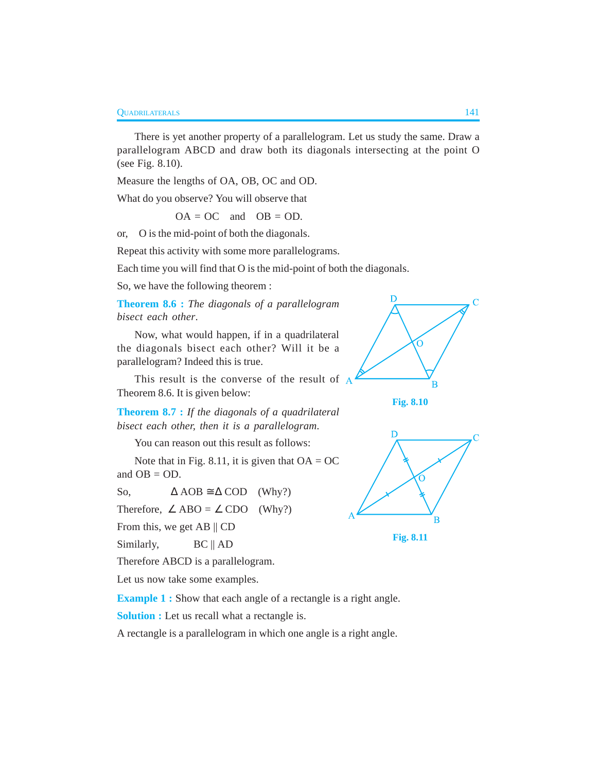There is yet another property of a parallelogram. Let us study the same. Draw a parallelogram ABCD and draw both its diagonals intersecting at the point O (see Fig. 8.10).

Measure the lengths of OA, OB, OC and OD.

What do you observe? You will observe that

 $OA = OC$  and  $OB = OD$ .

or, O is the mid-point of both the diagonals.

Repeat this activity with some more parallelograms.

Each time you will find that O is the mid-point of both the diagonals.

So, we have the following theorem :

**Theorem 8.6 :** *The diagonals of a parallelogram bisect each other*.

Now, what would happen, if in a quadrilateral the diagonals bisect each other? Will it be a parallelogram? Indeed this is true.

This result is the converse of the result of  $\overline{A}$ Theorem 8.6. It is given below:



You can reason out this result as follows:

Note that in Fig. 8.11, it is given that  $OA = OC$ and  $OB = OD$ .

So,  $\triangle AOB \cong \triangle COD$  (Why?) Therefore,  $\angle$  ABO =  $\angle$  CDO (Why?)

From this, we get AB || CD

Similarly, BC || AD

Therefore ABCD is a parallelogram.

Let us now take some examples.

**Example 1 :** Show that each angle of a rectangle is a right angle.

**Solution :** Let us recall what a rectangle is.

A rectangle is a parallelogram in which one angle is a right angle.



**Fig. 8.10**



**Fig. 8.11**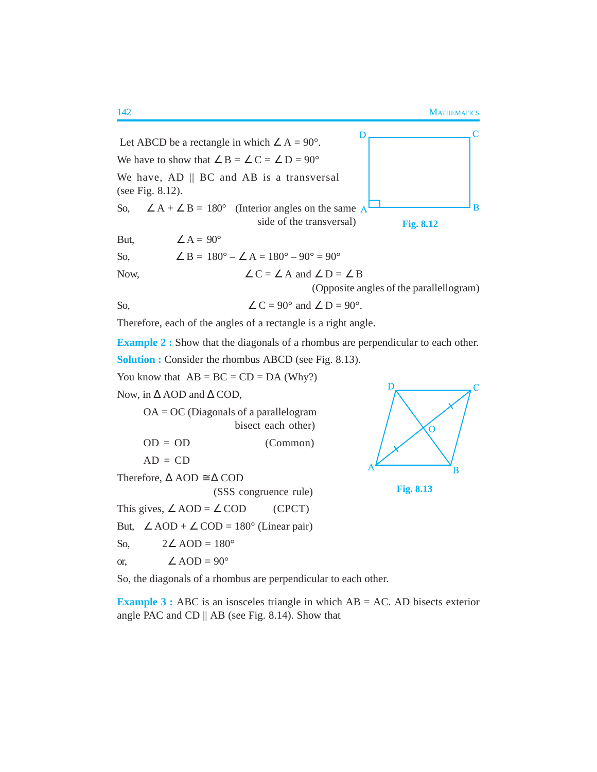

Therefore, each of the angles of a rectangle is a right angle.

**Example 2 :** Show that the diagonals of a rhombus are perpendicular to each other.

**Solution :** Consider the rhombus ABCD (see Fig. 8.13).

You know that  $AB = BC = CD = DA$  (Why?)

Now, in ∆ AOD and ∆ COD,

 $OA = OC$  (Diagonals of a parallelogram bisect each other)  $OD = OD$  (Common)

$$
AD = CD
$$

Therefore,  $\Delta$  AOD  $\cong \Delta$  COD

(SSS congruence rule)

This gives,  $\angle AOD = \angle COD$  (CPCT) But,  $\angle AOD + \angle COD = 180^\circ$  (Linear pair)

So,  $2\angle AOD = 180^\circ$ 

or,  $\angle AOD = 90^\circ$ 





So, the diagonals of a rhombus are perpendicular to each other.

**Example 3 :** ABC is an isosceles triangle in which AB = AC. AD bisects exterior angle PAC and CD  $\parallel$  AB (see Fig. 8.14). Show that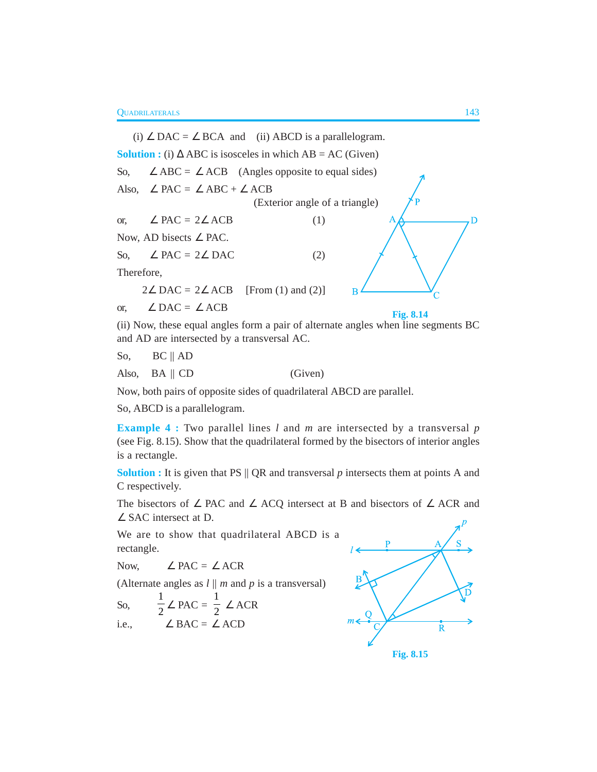(i) ∠ DAC = ∠ BCA and (ii) ABCD is a parallelogram. **Solution :** (i)  $\triangle$  ABC is isosceles in which AB = AC (Given) So,  $\angle$  ABC =  $\angle$  ACB (Angles opposite to equal sides) Also,  $\angle$  PAC =  $\angle$  ABC +  $\angle$  ACB (Exterior angle of a triangle) or,  $\angle$  PAC = 2 $\angle$  ACB (1) D Now, AD bisects ∠ PAC. So,  $\angle$  PAC = 2 $\angle$  DAC (2) Therefore,  $2\angle$  DAC = 2 $\angle$  ACB [From (1) and (2)] B or,  $∠$  DAC =  $∠$  ACB **Fig. 8.14**

(ii) Now, these equal angles form a pair of alternate angles when line segments BC and AD are intersected by a transversal AC.

So, BC || AD

Also, BA || CD (Given)

Now, both pairs of opposite sides of quadrilateral ABCD are parallel.

So, ABCD is a parallelogram.

**Example 4 :** Two parallel lines *l* and *m* are intersected by a transversal *p* (see Fig. 8.15). Show that the quadrilateral formed by the bisectors of interior angles is a rectangle.

**Solution :** It is given that PS || QR and transversal *p* intersects them at points A and C respectively.

The bisectors of ∠ PAC and ∠ ACQ intersect at B and bisectors of ∠ ACR and ∠ SAC intersect at D.

We are to show that quadrilateral ABCD is a rectangle.

Now,  $\angle$  PAC =  $\angle$  ACR

(Alternate angles as  $l \parallel m$  and  $p$  is a transversal)

So, 
$$
\frac{1}{2} \angle
$$
PAC =  $\frac{1}{2} \angle$ ACR  
i.e.,  $\angle$  BAC =  $\angle$ ACD

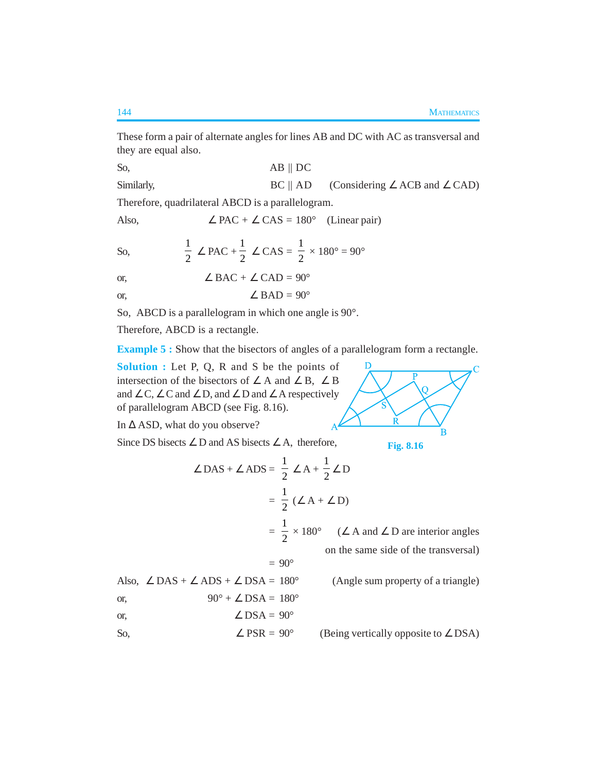These form a pair of alternate angles for lines AB and DC with AC as transversal and they are equal also.

So, AB || DC Similarly, BC || AD (Considering ∠ ACB and ∠ CAD)

Therefore, quadrilateral ABCD is a parallelogram.

Also,  $\angle$  PAC +  $\angle$  CAS = 180° (Linear pair)

So, 
$$
\frac{1}{2} \angle PAC + \frac{1}{2} \angle CAS = \frac{1}{2} \times 180^\circ = 90^\circ
$$

or, 
$$
\angle BAC + \angle CAD = 90^{\circ}
$$

or, 
$$
\angle BAD = 90^\circ
$$

So, ABCD is a parallelogram in which one angle is 90°.

Therefore, ABCD is a rectangle.

**Example 5 :** Show that the bisectors of angles of a parallelogram form a rectangle.

**Solution :** Let P, Q, R and S be the points of intersection of the bisectors of  $\angle A$  and  $\angle B$ ,  $\angle B$ and  $\angle$  C,  $\angle$  C and  $\angle$  D, and  $\angle$  D and  $\angle$  A respectively of parallelogram ABCD (see Fig. 8.16).

In ∆ ASD, what do you observe?

Since DS bisects  $∠$  D and AS bisects  $∠$  A, therefore,

**Fig. 8.16**

 $\overline{B}$ 

R

D

same side of the transversal)

$$
\angle DAS + \angle ADS = \frac{1}{2} \angle A + \frac{1}{2} \angle D
$$
  
=  $\frac{1}{2} (\angle A + \angle D)$   
=  $\frac{1}{2} \times 180^\circ$  ( $\angle A$  and  $\angle D$  are interior angles  
on the same side of the transversal)  
= 90°  
Also,  $\angle DAS + \angle ADS + \angle DSA = 180^\circ$  (Angle sum property of a triangle)

or, 
$$
90^{\circ} + \angle DSA = 180^{\circ}
$$

or, 
$$
\angle
$$
 DSA = 90<sup>°</sup>

So,  $\angle$  PSR = 90° (Being vertically opposite to  $\angle$  DSA)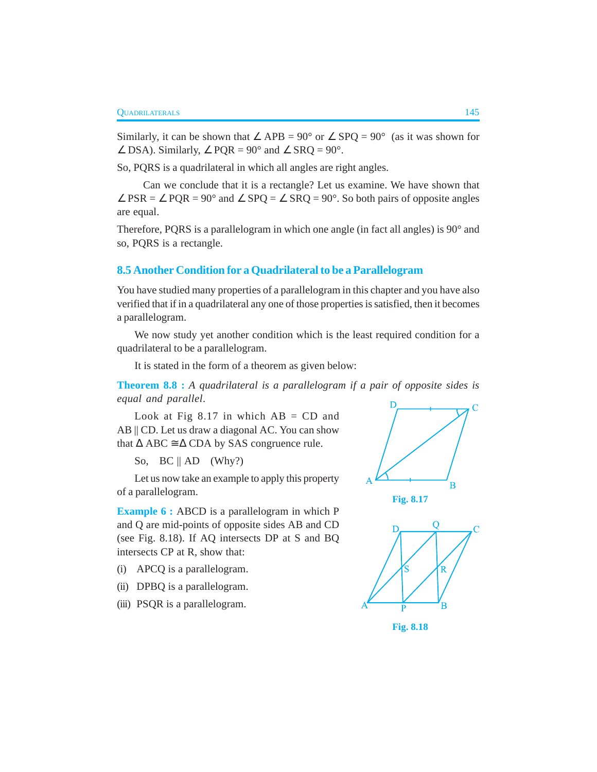Similarly, it can be shown that  $\angle$  APB = 90° or  $\angle$  SPQ = 90° (as it was shown for  $\angle$  DSA). Similarly,  $\angle$  PQR = 90° and  $\angle$  SRQ = 90°.

So, PQRS is a quadrilateral in which all angles are right angles.

Can we conclude that it is a rectangle? Let us examine. We have shown that  $\angle$  PSR =  $\angle$  PQR = 90° and  $\angle$  SPQ =  $\angle$  SRQ = 90°. So both pairs of opposite angles are equal.

Therefore, PQRS is a parallelogram in which one angle (in fact all angles) is 90° and so, PQRS is a rectangle.

### **8.5 Another Condition for a Quadrilateral to be a Parallelogram**

You have studied many properties of a parallelogram in this chapter and you have also verified that if in a quadrilateral any one of those properties is satisfied, then it becomes a parallelogram.

We now study yet another condition which is the least required condition for a quadrilateral to be a parallelogram.

It is stated in the form of a theorem as given below:

**Theorem 8.8 :** *A quadrilateral is a parallelogram if a pair of opposite sides is equal and parallel*.

Look at Fig  $8.17$  in which  $AB = CD$  and AB || CD. Let us draw a diagonal AC. You can show that  $\triangle$  ABC  $\cong$   $\triangle$  CDA by SAS congruence rule.

So,  $BC \parallel AD$  (Why?)

Let us now take an example to apply this property of a parallelogram.

**Example 6 :** ABCD is a parallelogram in which P and Q are mid-points of opposite sides AB and CD (see Fig. 8.18). If AQ intersects DP at S and BQ intersects CP at R, show that:

- (i) APCQ is a parallelogram.
- (ii) DPBQ is a parallelogram.
- (iii) PSQR is a parallelogram.







**Fig. 8.18**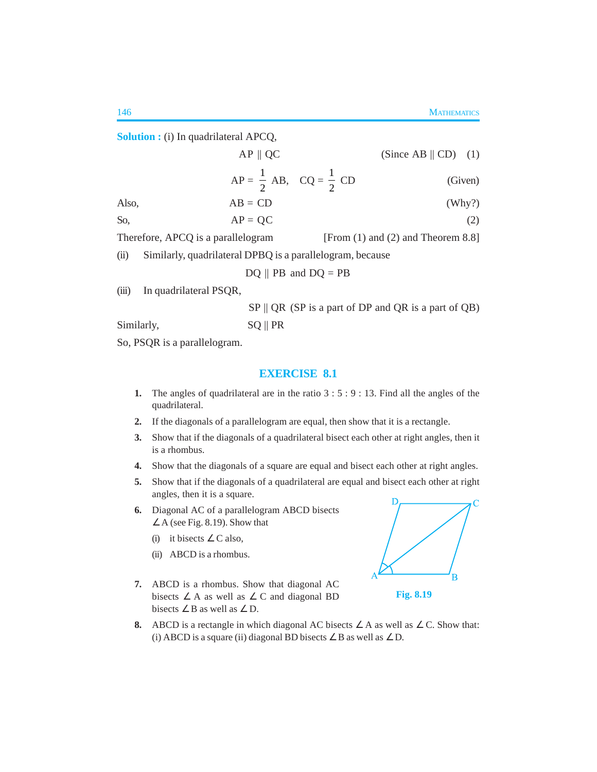**Solution :** (i) In quadrilateral APCQ,

|                                                                              | $AP \parallel QC$                                         | (Since AB $\parallel$ CD) (1) |
|------------------------------------------------------------------------------|-----------------------------------------------------------|-------------------------------|
|                                                                              | $AP = \frac{1}{2} AB$ , $CQ = \frac{1}{2} CD$             | (Given)                       |
| Also,                                                                        | $AB = CD$                                                 | (Why?)                        |
| So,                                                                          | $AP = OC$                                                 | (2)                           |
| Therefore, APCQ is a parallelogram<br>[From $(1)$ and $(2)$ and Theorem 8.8] |                                                           |                               |
| (ii)                                                                         | Similarly, quadrilateral DPBQ is a parallelogram, because |                               |
|                                                                              | $DQ \parallel PB$ and $DQ = PB$                           |                               |
| (iii)                                                                        | In quadrilateral PSQR,                                    |                               |

 $SP \parallel QR$  (SP is a part of DP and QR is a part of QB) Similarly, SQ || PR

So, PSQR is a parallelogram.

### **EXERCISE 8.1**

- **1.** The angles of quadrilateral are in the ratio 3 : 5 : 9 : 13. Find all the angles of the quadrilateral.
- **2.** If the diagonals of a parallelogram are equal, then show that it is a rectangle.
- **3.** Show that if the diagonals of a quadrilateral bisect each other at right angles, then it is a rhombus.
- **4.** Show that the diagonals of a square are equal and bisect each other at right angles.
- **5.** Show that if the diagonals of a quadrilateral are equal and bisect each other at right angles, then it is a square.
- **6.** Diagonal AC of a parallelogram ABCD bisects  $\angle A$  (see Fig. 8.19). Show that
	- (i) it bisects  $\angle C$  also,
	- (ii) ABCD is a rhombus.
- **7.** ABCD is a rhombus. Show that diagonal AC bisects  $\angle$  A as well as  $\angle$  C and diagonal BD bisects  $\angle B$  as well as  $\angle D$ .



**Fig. 8.19**

**8.** ABCD is a rectangle in which diagonal AC bisects  $\angle A$  as well as  $\angle C$ . Show that: (i) ABCD is a square (ii) diagonal BD bisects  $\angle$  B as well as  $\angle$  D.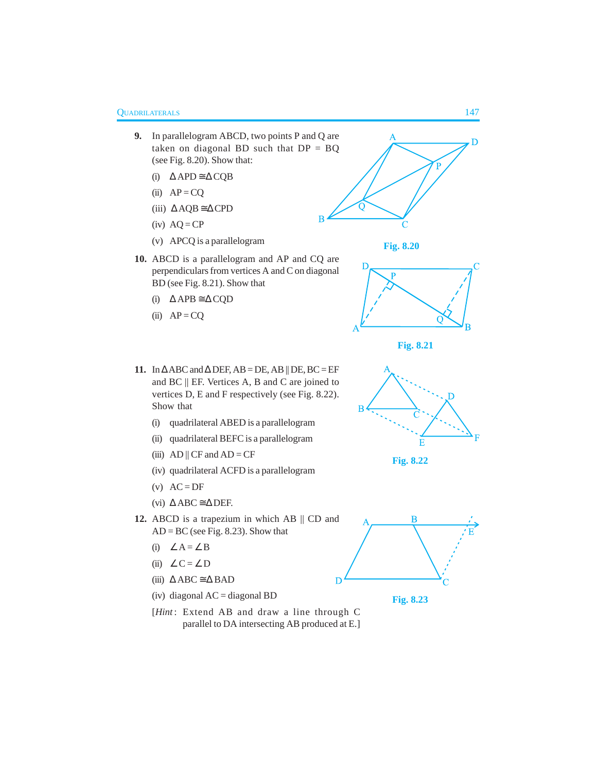- **9.** In parallelogram ABCD, two points P and Q are taken on diagonal BD such that  $DP = BQ$ (see Fig. 8.20). Show that:
	- (i) ∆ APD ≅ ∆ CQB
	- (ii)  $AP = CQ$
	- (iii) ∆ AQB ≅∆ CPD
	- $(iv)$  AQ = CP
	- (v) APCQ is a parallelogram
- **10.** ABCD is a parallelogram and AP and CQ are perpendiculars from vertices A and C on diagonal BD (see Fig. 8.21). Show that
	- (i) ∆ APB ≅ ∆ CQD
	- (ii)  $AP = CQ$



- (i) quadrilateral ABED is a parallelogram
- (ii) quadrilateral BEFC is a parallelogram
- (iii) AD  $||$  CF and AD = CF
- (iv) quadrilateral ACFD is a parallelogram
- $(v)$  AC = DF
- (vi)  $\triangle$  ABC  $\cong \triangle$  DEF.
- **12.** ABCD is a trapezium in which AB || CD and  $AD = BC$  (see Fig. 8.23). Show that
	- (i) ∠ A = ∠ B
	- (ii)  $\angle C = \angle D$
	- (iii)  $\triangle$  ABC  $\cong$   $\triangle$  BAD
	- $(iv)$  diagonal AC = diagonal BD
	- [*Hint*: Extend AB and draw a line through C parallel to DA intersecting AB produced at E.]











**Fig. 8.22**

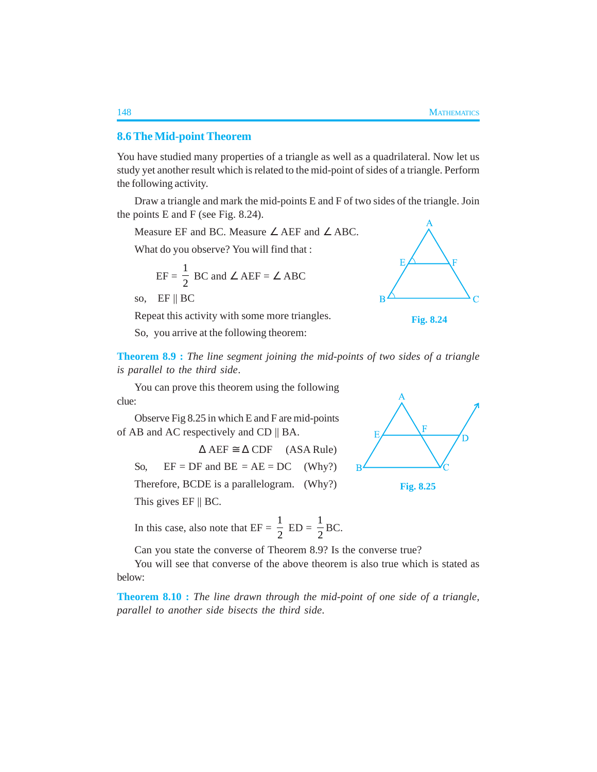#### **8.6The Mid-point Theorem**

You have studied many properties of a triangle as well as a quadrilateral. Now let us study yet another result which is related to the mid-point of sides of a triangle. Perform the following activity.

Draw a triangle and mark the mid-points E and F of two sides of the triangle. Join the points E and F (see Fig. 8.24).

Measure EF and BC. Measure ∠ AEF and ∠ ABC.

What do you observe? You will find that :

$$
EF = \frac{1}{2} \text{ BC and } \angle \text{ AEF} = \angle \text{ ABC}
$$

so,  $EF \parallel BC$ 

Repeat this activity with some more triangles.

So, you arrive at the following theorem:





**Theorem 8.9 :** *The line segment joining the mid-points of two sides of a triangle is parallel to the third side*.

You can prove this theorem using the following clue:

Observe Fig 8.25 in which E and F are mid-points of AB and AC respectively and CD || BA.

 $\triangle$  AEF  $\cong$   $\triangle$  CDF (ASA Rule) So,  $EF = DF$  and  $BE = AE = DC$  (Why?) Therefore, BCDE is a parallelogram. (Why?) This gives EF || BC.

In this case, also note that  $EF =$ 1  $\frac{1}{2}$  ED = 1  $\frac{1}{2}$ BC.

Can you state the converse of Theorem 8.9? Is the converse true?

You will see that converse of the above theorem is also true which is stated as below:

**Theorem 8.10 :** *The line drawn through the mid-point of one side of a triangle, parallel to another side bisects the third side*.



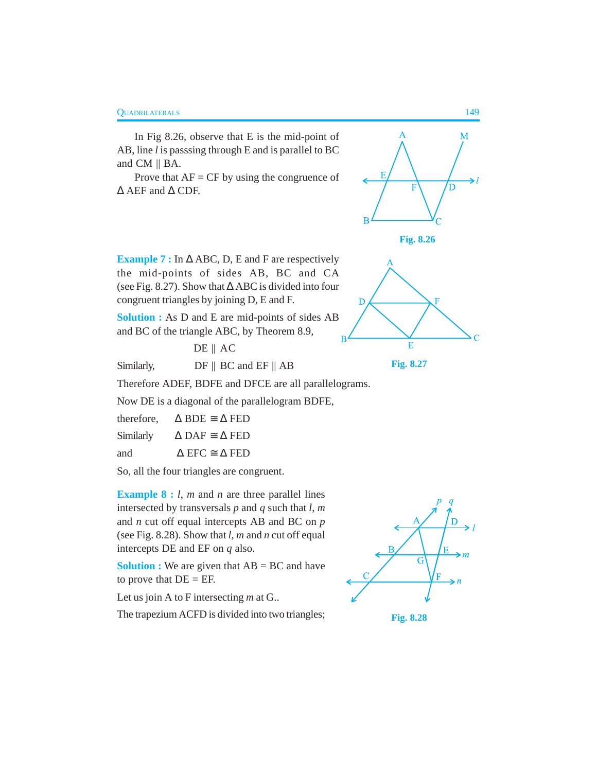In Fig 8.26, observe that E is the mid-point of AB, line *l* is passsing through E and is parallel to BC and CM || BA.

Prove that  $AF = CF$  by using the congruence of ∆ AEF and ∆ CDF.



**Fig. 8.26**

**Example 7 :** In ∆ ABC, D, E and F are respectively the mid-points of sides AB, BC and CA (see Fig. 8.27). Show that ∆ ABC is divided into four congruent triangles by joining D, E and F.

**Solution :** As D and E are mid-points of sides AB and BC of the triangle ABC, by Theorem 8.9,

DE || AC



**Fig. 8.27**

Similarly, DF || BC and EF || AB

Therefore ADEF, BDFE and DFCE are all parallelograms.

Now DE is a diagonal of the parallelogram BDFE,

| therefore, | $\triangle$ BDE $\cong$ $\triangle$ FED |
|------------|-----------------------------------------|
| Similarly  | $\triangle$ DAF $\cong$ $\triangle$ FED |
| and        | $\triangle$ EFC $\cong$ $\triangle$ FED |

So, all the four triangles are congruent.

**Example 8 :** *l*, *m* and *n* are three parallel lines intersected by transversals *p* and *q* such that *l*, *m* and *n* cut off equal intercepts AB and BC on *p* (see Fig. 8.28). Show that *l*, *m* and *n* cut off equal intercepts DE and EF on *q* also.

**Solution :** We are given that AB = BC and have to prove that  $DE = EF$ .

Let us join A to F intersecting *m* at G..

The trapezium ACFD is divided into two triangles;



**Fig. 8.28**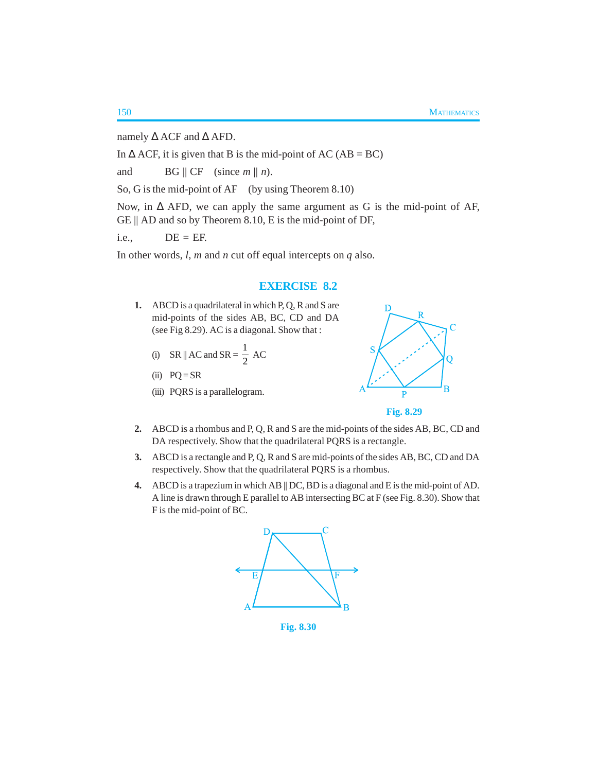namely  $\Delta$  ACF and  $\Delta$  AFD.

In  $\triangle$  ACF, it is given that B is the mid-point of AC (AB = BC)

and BG  $\parallel$  CF (since  $m \parallel n$ ).

So, G is the mid-point of AF (by using Theorem 8.10)

Now, in ∆ AFD, we can apply the same argument as G is the mid-point of AF, GE || AD and so by Theorem 8.10, E is the mid-point of DF,

 $i.e., \qquad DE = EF.$ 

In other words, *l*, *m* and *n* cut off equal intercepts on *q* also.

#### **EXERCISE 8.2**

- **1.** ABCD is a quadrilateral in which P, Q, R and S are mid-points of the sides AB, BC, CD and DA (see Fig 8.29). AC is a diagonal. Show that :
	- (i) SR || AC and SR =  $\frac{1}{2}$  $\frac{1}{2}$  AC
	- (ii)  $PQ = SR$
	- (iii) PQRS is a parallelogram.





- **2.** ABCD is a rhombus and P, Q, R and S are the mid-points of the sides AB, BC, CD and DA respectively. Show that the quadrilateral PQRS is a rectangle.
- **3.** ABCD is a rectangle and P, Q, R and S are mid-points of the sides AB, BC, CD and DA respectively. Show that the quadrilateral PQRS is a rhombus.
- **4.** ABCD is a trapezium in which AB || DC, BD is a diagonal and E is the mid-point of AD. A line is drawn through E parallel to AB intersecting BC at F (see Fig. 8.30). Show that F is the mid-point of BC.



**Fig. 8.30**